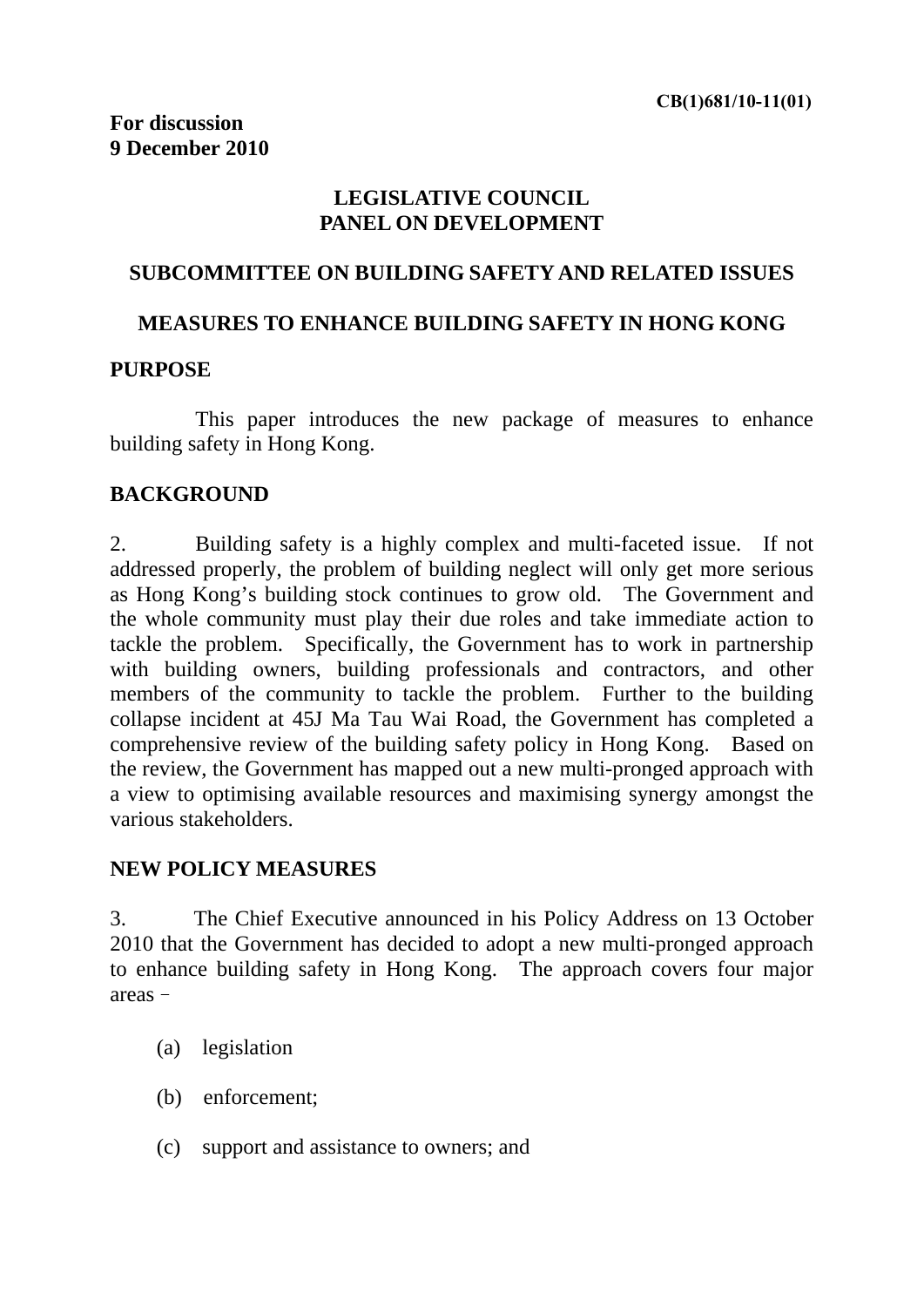## **LEGISLATIVE COUNCIL PANEL ON DEVELOPMENT**

### **SUBCOMMITTEE ON BUILDING SAFETY AND RELATED ISSUES**

### **MEASURES TO ENHANCE BUILDING SAFETY IN HONG KONG**

#### **PURPOSE**

 This paper introduces the new package of measures to enhance building safety in Hong Kong.

#### **BACKGROUND**

2. Building safety is a highly complex and multi-faceted issue. If not addressed properly, the problem of building neglect will only get more serious as Hong Kong's building stock continues to grow old. The Government and the whole community must play their due roles and take immediate action to tackle the problem. Specifically, the Government has to work in partnership with building owners, building professionals and contractors, and other members of the community to tackle the problem. Further to the building collapse incident at 45J Ma Tau Wai Road, the Government has completed a comprehensive review of the building safety policy in Hong Kong. Based on the review, the Government has mapped out a new multi-pronged approach with a view to optimising available resources and maximising synergy amongst the various stakeholders.

#### **NEW POLICY MEASURES**

3. The Chief Executive announced in his Policy Address on 13 October 2010 that the Government has decided to adopt a new multi-pronged approach to enhance building safety in Hong Kong. The approach covers four major areas–

- (a) legislation
- (b) enforcement;
- (c) support and assistance to owners; and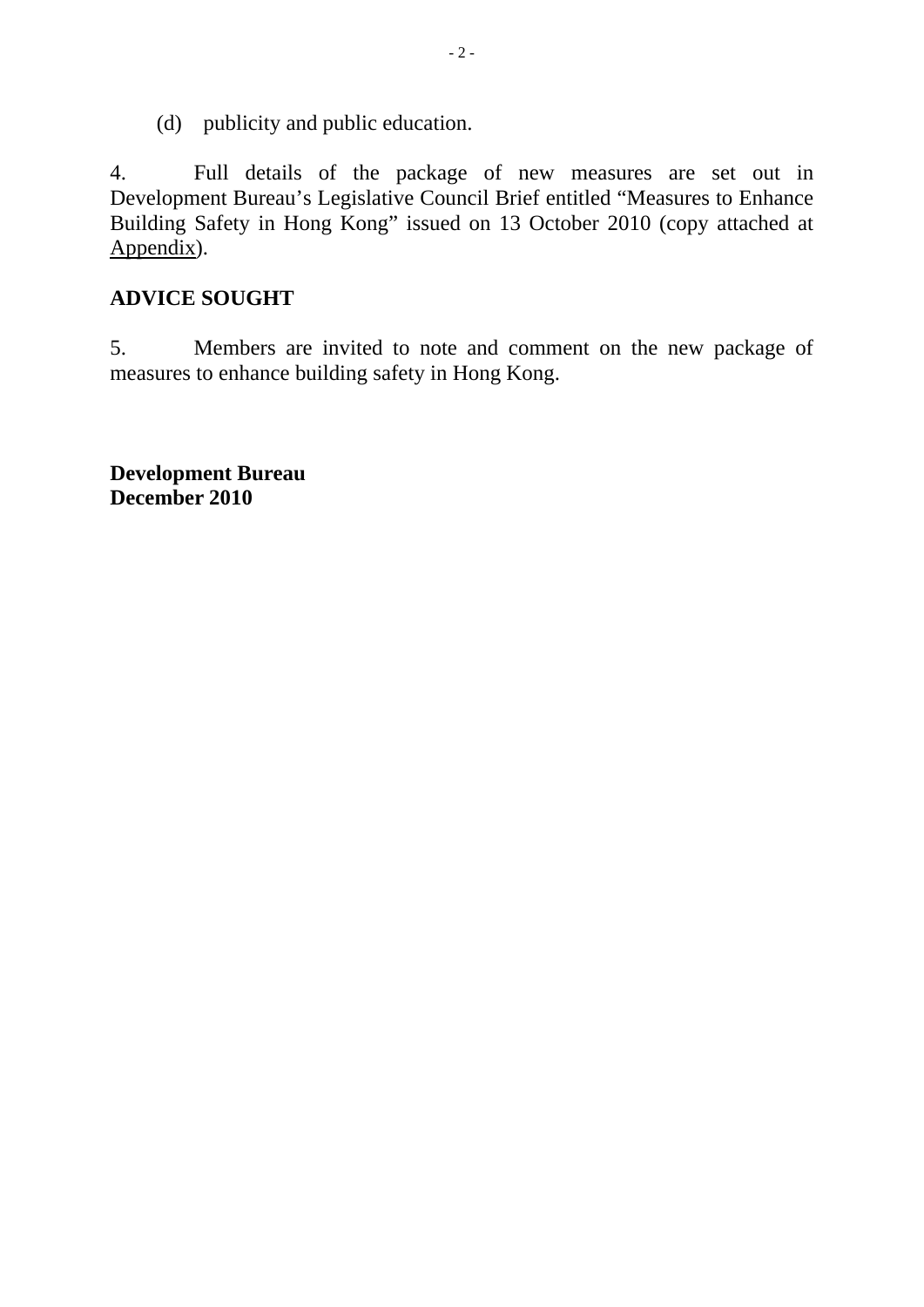(d) publicity and public education.

4. Full details of the package of new measures are set out in Development Bureau's Legislative Council Brief entitled "Measures to Enhance Building Safety in Hong Kong" issued on 13 October 2010 (copy attached at Appendix).

## **ADVICE SOUGHT**

5. Members are invited to note and comment on the new package of measures to enhance building safety in Hong Kong.

**Development Bureau December 2010**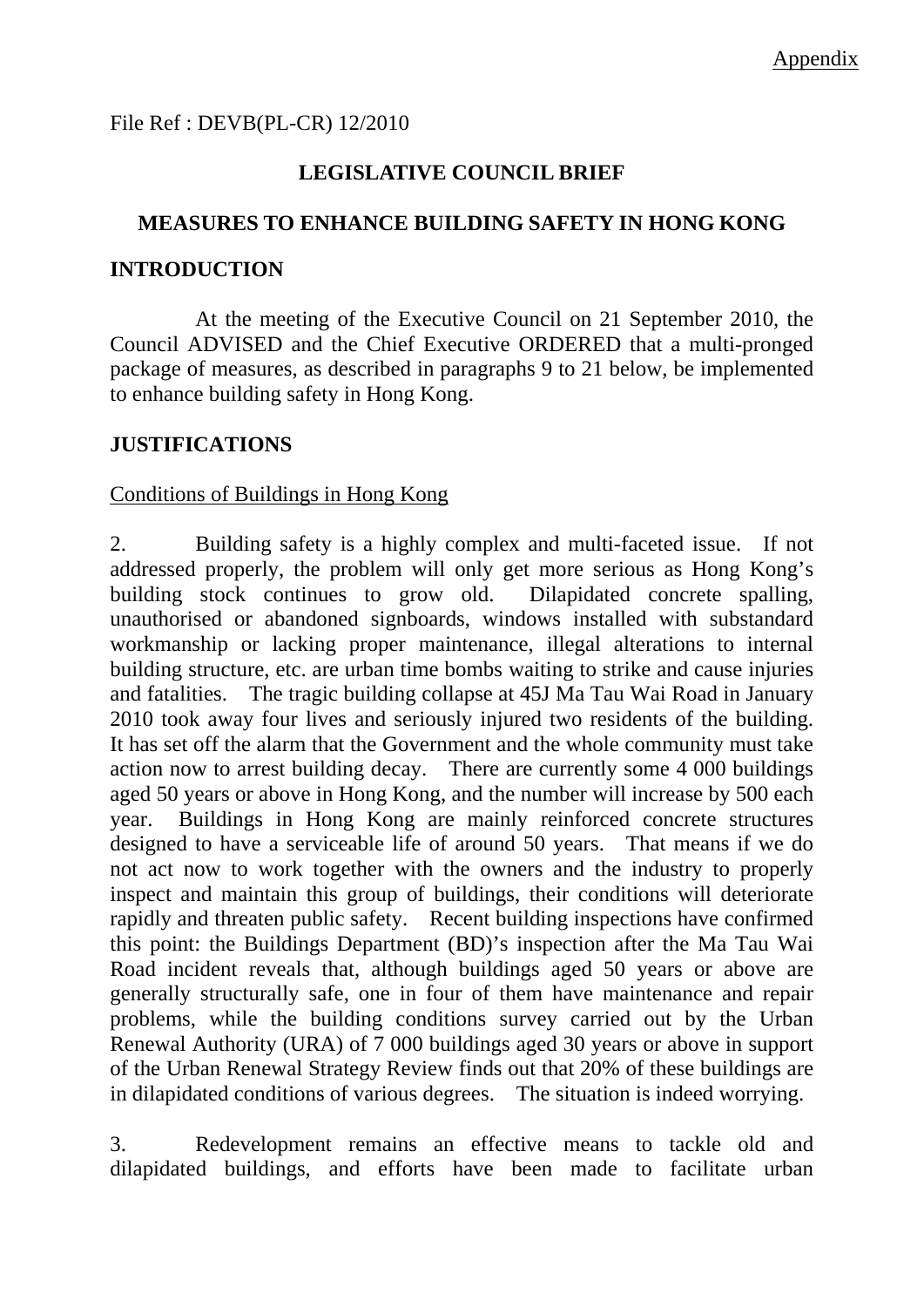File Ref : DEVB(PL-CR) 12/2010

## **LEGISLATIVE COUNCIL BRIEF**

### **MEASURES TO ENHANCE BUILDING SAFETY IN HONG KONG**

### **INTRODUCTION**

 At the meeting of the Executive Council on 21 September 2010, the Council ADVISED and the Chief Executive ORDERED that a multi-pronged package of measures, as described in paragraphs 9 to 21 below, be implemented to enhance building safety in Hong Kong.

## **JUSTIFICATIONS**

### Conditions of Buildings in Hong Kong

2. Building safety is a highly complex and multi-faceted issue. If not addressed properly, the problem will only get more serious as Hong Kong's building stock continues to grow old. Dilapidated concrete spalling, unauthorised or abandoned signboards, windows installed with substandard workmanship or lacking proper maintenance, illegal alterations to internal building structure, etc. are urban time bombs waiting to strike and cause injuries and fatalities. The tragic building collapse at 45J Ma Tau Wai Road in January 2010 took away four lives and seriously injured two residents of the building. It has set off the alarm that the Government and the whole community must take action now to arrest building decay. There are currently some 4 000 buildings aged 50 years or above in Hong Kong, and the number will increase by 500 each year. Buildings in Hong Kong are mainly reinforced concrete structures designed to have a serviceable life of around 50 years. That means if we do not act now to work together with the owners and the industry to properly inspect and maintain this group of buildings, their conditions will deteriorate rapidly and threaten public safety. Recent building inspections have confirmed this point: the Buildings Department (BD)'s inspection after the Ma Tau Wai Road incident reveals that, although buildings aged 50 years or above are generally structurally safe, one in four of them have maintenance and repair problems, while the building conditions survey carried out by the Urban Renewal Authority (URA) of 7 000 buildings aged 30 years or above in support of the Urban Renewal Strategy Review finds out that 20% of these buildings are in dilapidated conditions of various degrees. The situation is indeed worrying.

3. Redevelopment remains an effective means to tackle old and dilapidated buildings, and efforts have been made to facilitate urban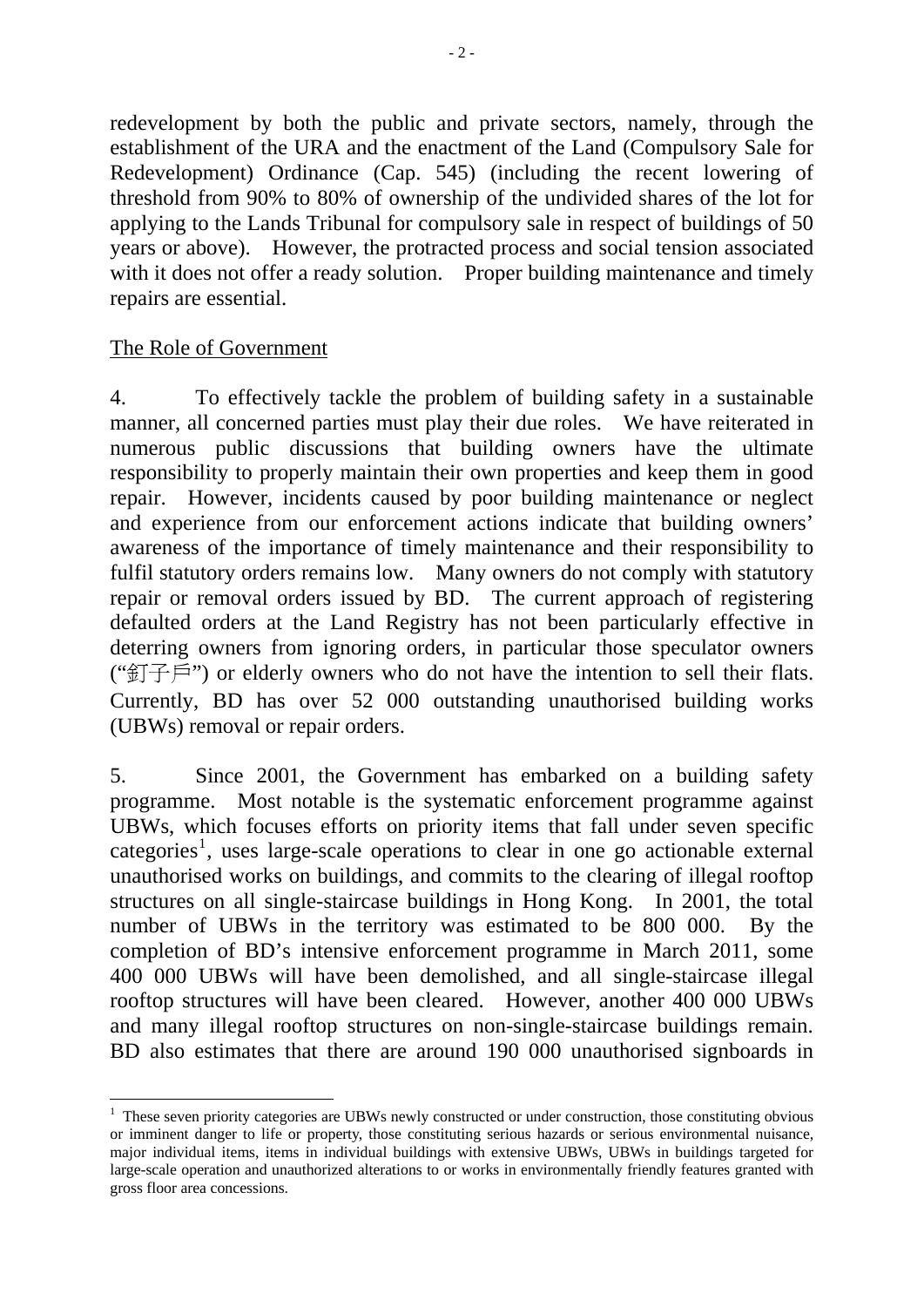redevelopment by both the public and private sectors, namely, through the establishment of the URA and the enactment of the Land (Compulsory Sale for Redevelopment) Ordinance (Cap. 545) (including the recent lowering of threshold from 90% to 80% of ownership of the undivided shares of the lot for applying to the Lands Tribunal for compulsory sale in respect of buildings of 50 years or above). However, the protracted process and social tension associated with it does not offer a ready solution. Proper building maintenance and timely repairs are essential.

## The Role of Government

4. To effectively tackle the problem of building safety in a sustainable manner, all concerned parties must play their due roles. We have reiterated in numerous public discussions that building owners have the ultimate responsibility to properly maintain their own properties and keep them in good repair. However, incidents caused by poor building maintenance or neglect and experience from our enforcement actions indicate that building owners' awareness of the importance of timely maintenance and their responsibility to fulfil statutory orders remains low. Many owners do not comply with statutory repair or removal orders issued by BD. The current approach of registering defaulted orders at the Land Registry has not been particularly effective in deterring owners from ignoring orders, in particular those speculator owners (" $T \notin \mathbb{R}$ ") or elderly owners who do not have the intention to sell their flats. Currently, BD has over 52 000 outstanding unauthorised building works (UBWs) removal or repair orders.

5. Since 2001, the Government has embarked on a building safety programme. Most notable is the systematic enforcement programme against UBWs, which focuses efforts on priority items that fall under seven specific  $categorical<sup>1</sup>$  $categorical<sup>1</sup>$  $categorical<sup>1</sup>$ , uses large-scale operations to clear in one go actionable external unauthorised works on buildings, and commits to the clearing of illegal rooftop structures on all single-staircase buildings in Hong Kong. In 2001, the total number of UBWs in the territory was estimated to be 800 000. By the completion of BD's intensive enforcement programme in March 2011, some 400 000 UBWs will have been demolished, and all single-staircase illegal rooftop structures will have been cleared. However, another 400 000 UBWs and many illegal rooftop structures on non-single-staircase buildings remain. BD also estimates that there are around 190 000 unauthorised signboards in

<span id="page-3-0"></span><sup>&</sup>lt;u>.</u> <sup>1</sup> These seven priority categories are UBWs newly constructed or under construction, those constituting obvious or imminent danger to life or property, those constituting serious hazards or serious environmental nuisance, major individual items, items in individual buildings with extensive UBWs, UBWs in buildings targeted for large-scale operation and unauthorized alterations to or works in environmentally friendly features granted with gross floor area concessions.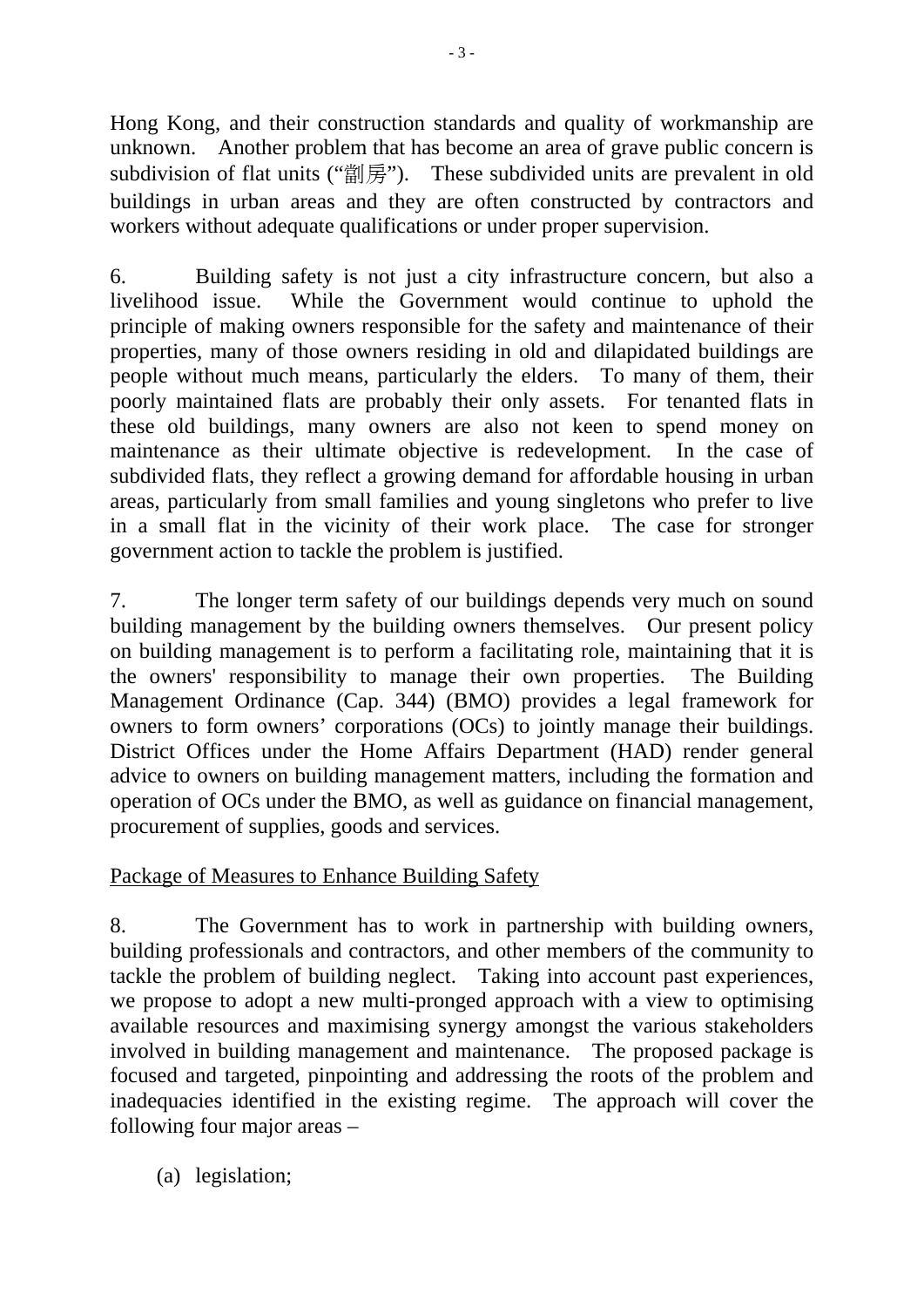Hong Kong, and their construction standards and quality of workmanship are unknown. Another problem that has become an area of grave public concern is subdivision of flat units ("劏房"). These subdivided units are prevalent in old buildings in urban areas and they are often constructed by contractors and workers without adequate qualifications or under proper supervision.

6. Building safety is not just a city infrastructure concern, but also a livelihood issue. While the Government would continue to uphold the principle of making owners responsible for the safety and maintenance of their properties, many of those owners residing in old and dilapidated buildings are people without much means, particularly the elders. To many of them, their poorly maintained flats are probably their only assets. For tenanted flats in these old buildings, many owners are also not keen to spend money on maintenance as their ultimate objective is redevelopment. In the case of subdivided flats, they reflect a growing demand for affordable housing in urban areas, particularly from small families and young singletons who prefer to live in a small flat in the vicinity of their work place. The case for stronger government action to tackle the problem is justified.

7. The longer term safety of our buildings depends very much on sound building management by the building owners themselves. Our present policy on building management is to perform a facilitating role, maintaining that it is the owners' responsibility to manage their own properties. The Building Management Ordinance (Cap. 344) (BMO) provides a legal framework for owners to form owners' corporations (OCs) to jointly manage their buildings. District Offices under the Home Affairs Department (HAD) render general advice to owners on building management matters, including the formation and operation of OCs under the BMO, as well as guidance on financial management, procurement of supplies, goods and services.

# Package of Measures to Enhance Building Safety

8. The Government has to work in partnership with building owners, building professionals and contractors, and other members of the community to tackle the problem of building neglect. Taking into account past experiences, we propose to adopt a new multi-pronged approach with a view to optimising available resources and maximising synergy amongst the various stakeholders involved in building management and maintenance. The proposed package is focused and targeted, pinpointing and addressing the roots of the problem and inadequacies identified in the existing regime. The approach will cover the following four major areas –

(a) legislation;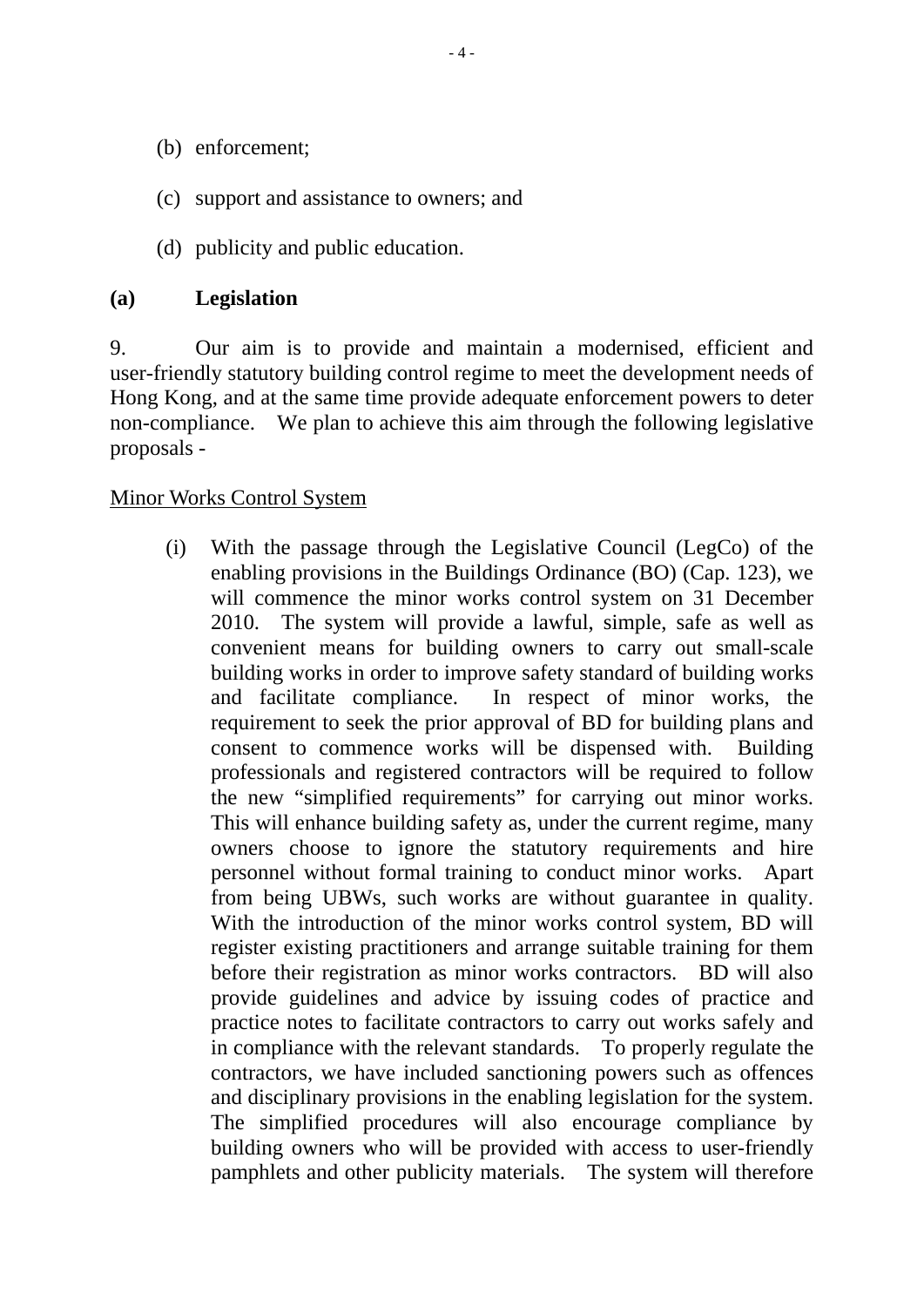- (b) enforcement;
- (c) support and assistance to owners; and
- (d) publicity and public education.

### **(a) Legislation**

9. Our aim is to provide and maintain a modernised, efficient and user-friendly statutory building control regime to meet the development needs of Hong Kong, and at the same time provide adequate enforcement powers to deter non-compliance. We plan to achieve this aim through the following legislative proposals -

#### Minor Works Control System

(i) With the passage through the Legislative Council (LegCo) of the enabling provisions in the Buildings Ordinance (BO) (Cap. 123), we will commence the minor works control system on 31 December 2010. The system will provide a lawful, simple, safe as well as convenient means for building owners to carry out small-scale building works in order to improve safety standard of building works and facilitate compliance. In respect of minor works, the requirement to seek the prior approval of BD for building plans and consent to commence works will be dispensed with. Building professionals and registered contractors will be required to follow the new "simplified requirements" for carrying out minor works. This will enhance building safety as, under the current regime, many owners choose to ignore the statutory requirements and hire personnel without formal training to conduct minor works. Apart from being UBWs, such works are without guarantee in quality. With the introduction of the minor works control system, BD will register existing practitioners and arrange suitable training for them before their registration as minor works contractors. BD will also provide guidelines and advice by issuing codes of practice and practice notes to facilitate contractors to carry out works safely and in compliance with the relevant standards. To properly regulate the contractors, we have included sanctioning powers such as offences and disciplinary provisions in the enabling legislation for the system. The simplified procedures will also encourage compliance by building owners who will be provided with access to user-friendly pamphlets and other publicity materials. The system will therefore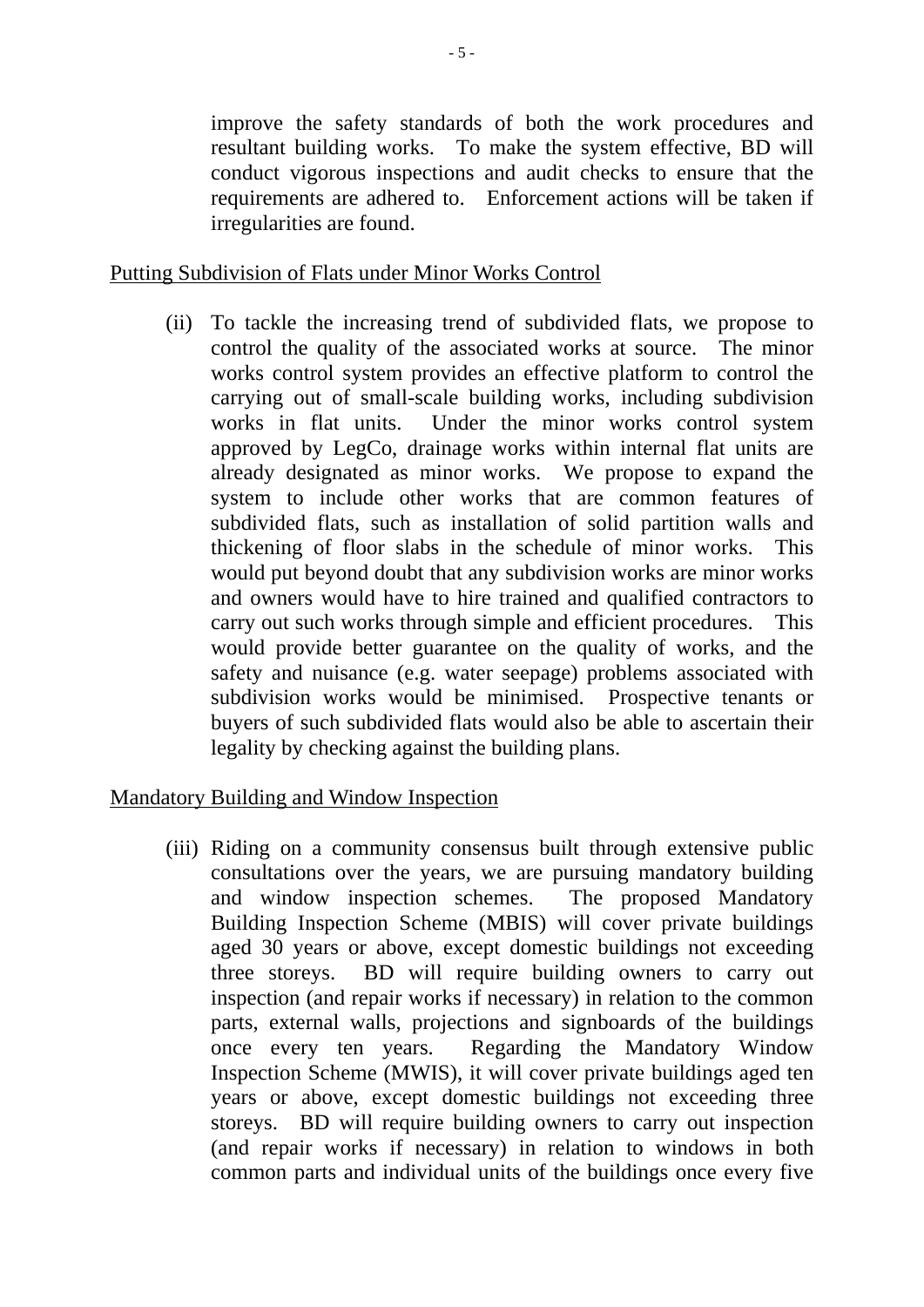improve the safety standards of both the work procedures and resultant building works. To make the system effective, BD will conduct vigorous inspections and audit checks to ensure that the requirements are adhered to. Enforcement actions will be taken if irregularities are found.

### Putting Subdivision of Flats under Minor Works Control

(ii) To tackle the increasing trend of subdivided flats, we propose to control the quality of the associated works at source. The minor works control system provides an effective platform to control the carrying out of small-scale building works, including subdivision works in flat units. Under the minor works control system approved by LegCo, drainage works within internal flat units are already designated as minor works. We propose to expand the system to include other works that are common features of subdivided flats, such as installation of solid partition walls and thickening of floor slabs in the schedule of minor works. This would put beyond doubt that any subdivision works are minor works and owners would have to hire trained and qualified contractors to carry out such works through simple and efficient procedures. This would provide better guarantee on the quality of works, and the safety and nuisance (e.g. water seepage) problems associated with subdivision works would be minimised. Prospective tenants or buyers of such subdivided flats would also be able to ascertain their legality by checking against the building plans.

#### Mandatory Building and Window Inspection

(iii) Riding on a community consensus built through extensive public consultations over the years, we are pursuing mandatory building and window inspection schemes. The proposed Mandatory Building Inspection Scheme (MBIS) will cover private buildings aged 30 years or above, except domestic buildings not exceeding three storeys. BD will require building owners to carry out inspection (and repair works if necessary) in relation to the common parts, external walls, projections and signboards of the buildings once every ten years. Regarding the Mandatory Window Inspection Scheme (MWIS), it will cover private buildings aged ten years or above, except domestic buildings not exceeding three storeys. BD will require building owners to carry out inspection (and repair works if necessary) in relation to windows in both common parts and individual units of the buildings once every five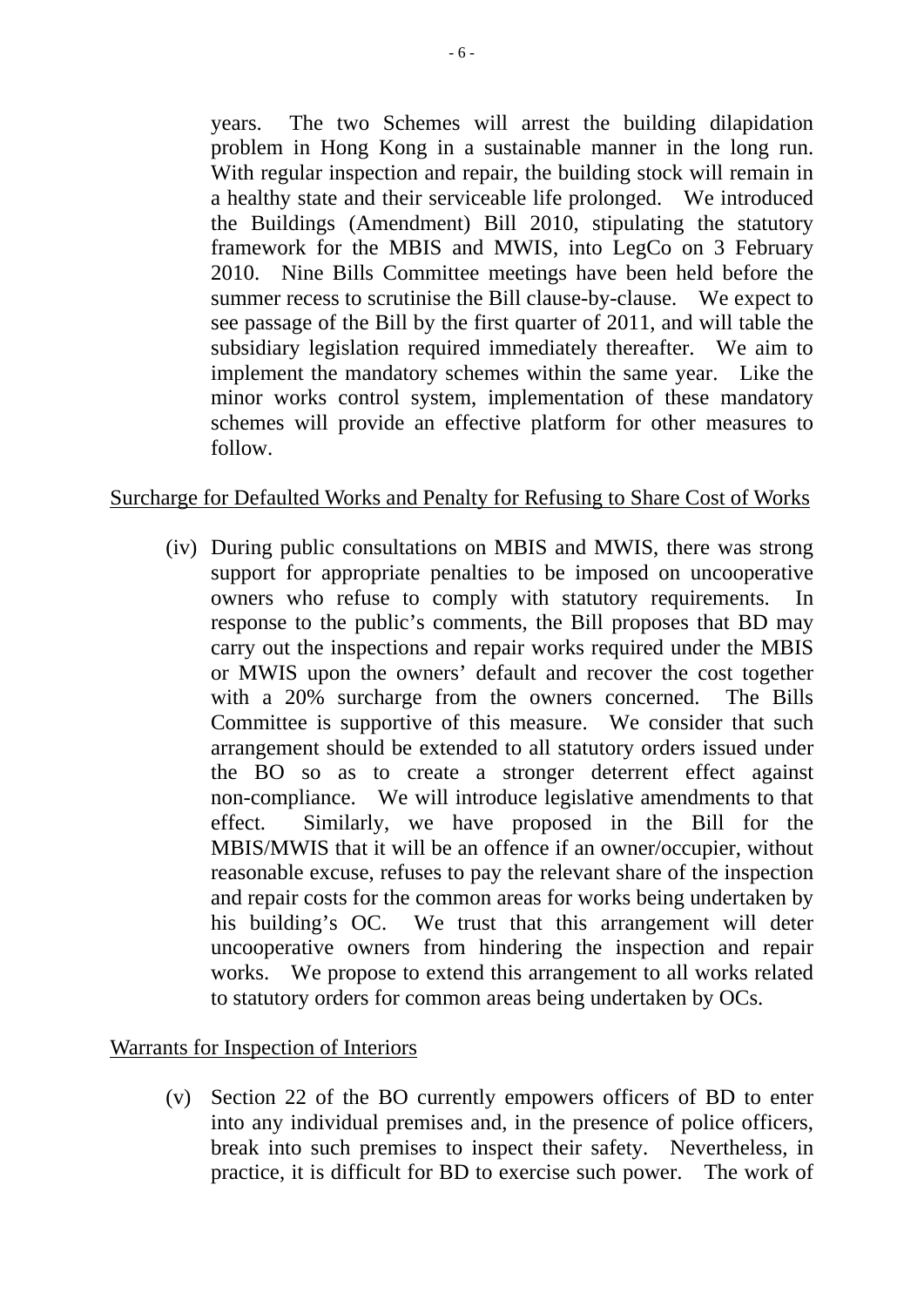years. The two Schemes will arrest the building dilapidation problem in Hong Kong in a sustainable manner in the long run. With regular inspection and repair, the building stock will remain in a healthy state and their serviceable life prolonged. We introduced the Buildings (Amendment) Bill 2010, stipulating the statutory framework for the MBIS and MWIS, into LegCo on 3 February 2010. Nine Bills Committee meetings have been held before the summer recess to scrutinise the Bill clause-by-clause. We expect to see passage of the Bill by the first quarter of 2011, and will table the subsidiary legislation required immediately thereafter. We aim to implement the mandatory schemes within the same year. Like the minor works control system, implementation of these mandatory schemes will provide an effective platform for other measures to follow.

### Surcharge for Defaulted Works and Penalty for Refusing to Share Cost of Works

(iv) During public consultations on MBIS and MWIS, there was strong support for appropriate penalties to be imposed on uncooperative owners who refuse to comply with statutory requirements. In response to the public's comments, the Bill proposes that BD may carry out the inspections and repair works required under the MBIS or MWIS upon the owners' default and recover the cost together with a 20% surcharge from the owners concerned. The Bills Committee is supportive of this measure. We consider that such arrangement should be extended to all statutory orders issued under the BO so as to create a stronger deterrent effect against non-compliance. We will introduce legislative amendments to that effect. Similarly, we have proposed in the Bill for the MBIS/MWIS that it will be an offence if an owner/occupier, without reasonable excuse, refuses to pay the relevant share of the inspection and repair costs for the common areas for works being undertaken by his building's OC. We trust that this arrangement will deter uncooperative owners from hindering the inspection and repair works. We propose to extend this arrangement to all works related to statutory orders for common areas being undertaken by OCs.

#### Warrants for Inspection of Interiors

(v) Section 22 of the BO currently empowers officers of BD to enter into any individual premises and, in the presence of police officers, break into such premises to inspect their safety. Nevertheless, in practice, it is difficult for BD to exercise such power. The work of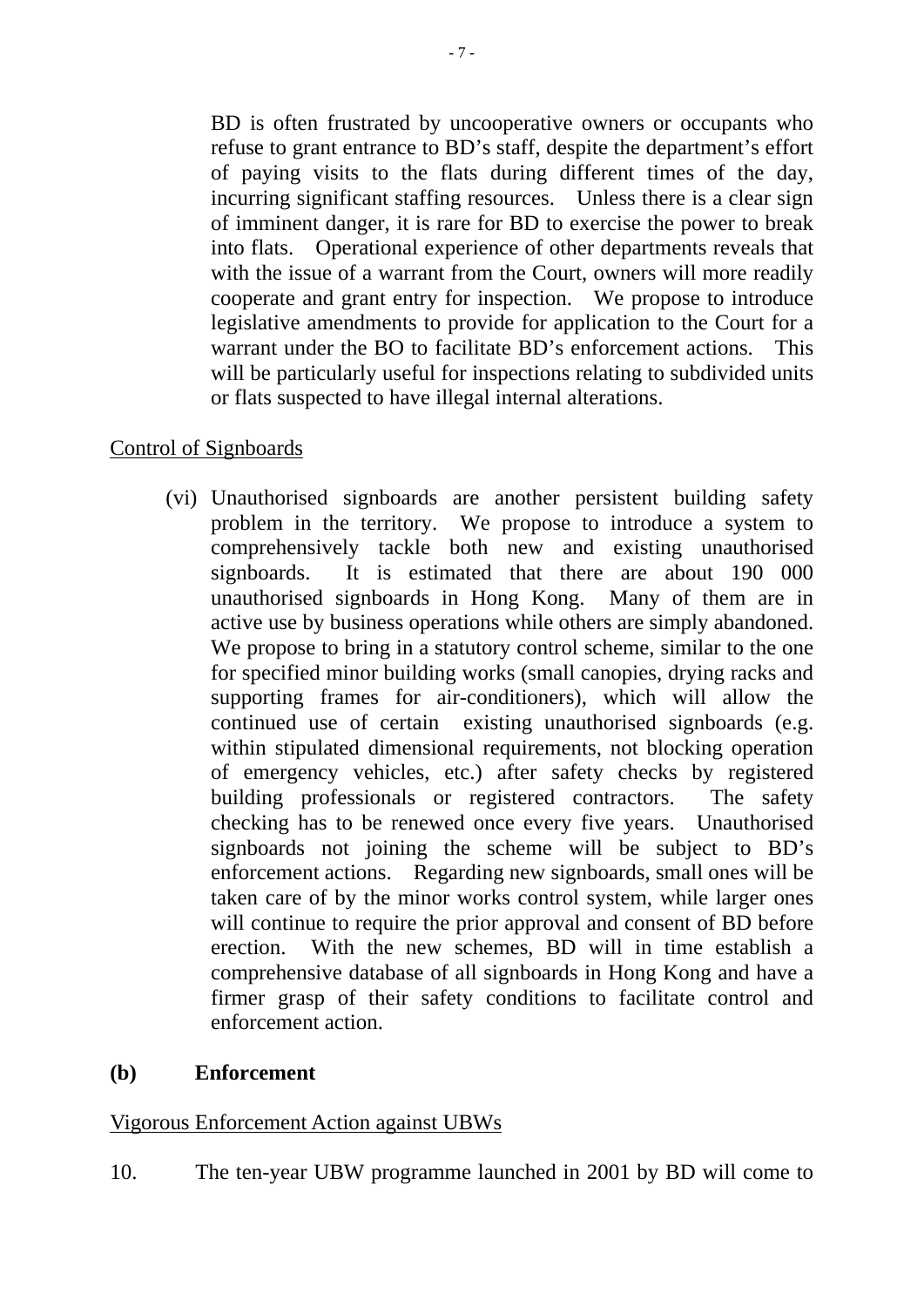BD is often frustrated by uncooperative owners or occupants who refuse to grant entrance to BD's staff, despite the department's effort of paying visits to the flats during different times of the day, incurring significant staffing resources. Unless there is a clear sign of imminent danger, it is rare for BD to exercise the power to break into flats. Operational experience of other departments reveals that with the issue of a warrant from the Court, owners will more readily cooperate and grant entry for inspection. We propose to introduce legislative amendments to provide for application to the Court for a warrant under the BO to facilitate BD's enforcement actions. This will be particularly useful for inspections relating to subdivided units or flats suspected to have illegal internal alterations.

## Control of Signboards

(vi) Unauthorised signboards are another persistent building safety problem in the territory. We propose to introduce a system to comprehensively tackle both new and existing unauthorised signboards. It is estimated that there are about 190 000 unauthorised signboards in Hong Kong. Many of them are in active use by business operations while others are simply abandoned. We propose to bring in a statutory control scheme, similar to the one for specified minor building works (small canopies, drying racks and supporting frames for air-conditioners), which will allow the continued use of certain existing unauthorised signboards (e.g. within stipulated dimensional requirements, not blocking operation of emergency vehicles, etc.) after safety checks by registered building professionals or registered contractors. The safety checking has to be renewed once every five years. Unauthorised signboards not joining the scheme will be subject to BD's enforcement actions. Regarding new signboards, small ones will be taken care of by the minor works control system, while larger ones will continue to require the prior approval and consent of BD before erection. With the new schemes, BD will in time establish a comprehensive database of all signboards in Hong Kong and have a firmer grasp of their safety conditions to facilitate control and enforcement action.

#### **(b) Enforcement**

#### Vigorous Enforcement Action against UBWs

10. The ten-year UBW programme launched in 2001 by BD will come to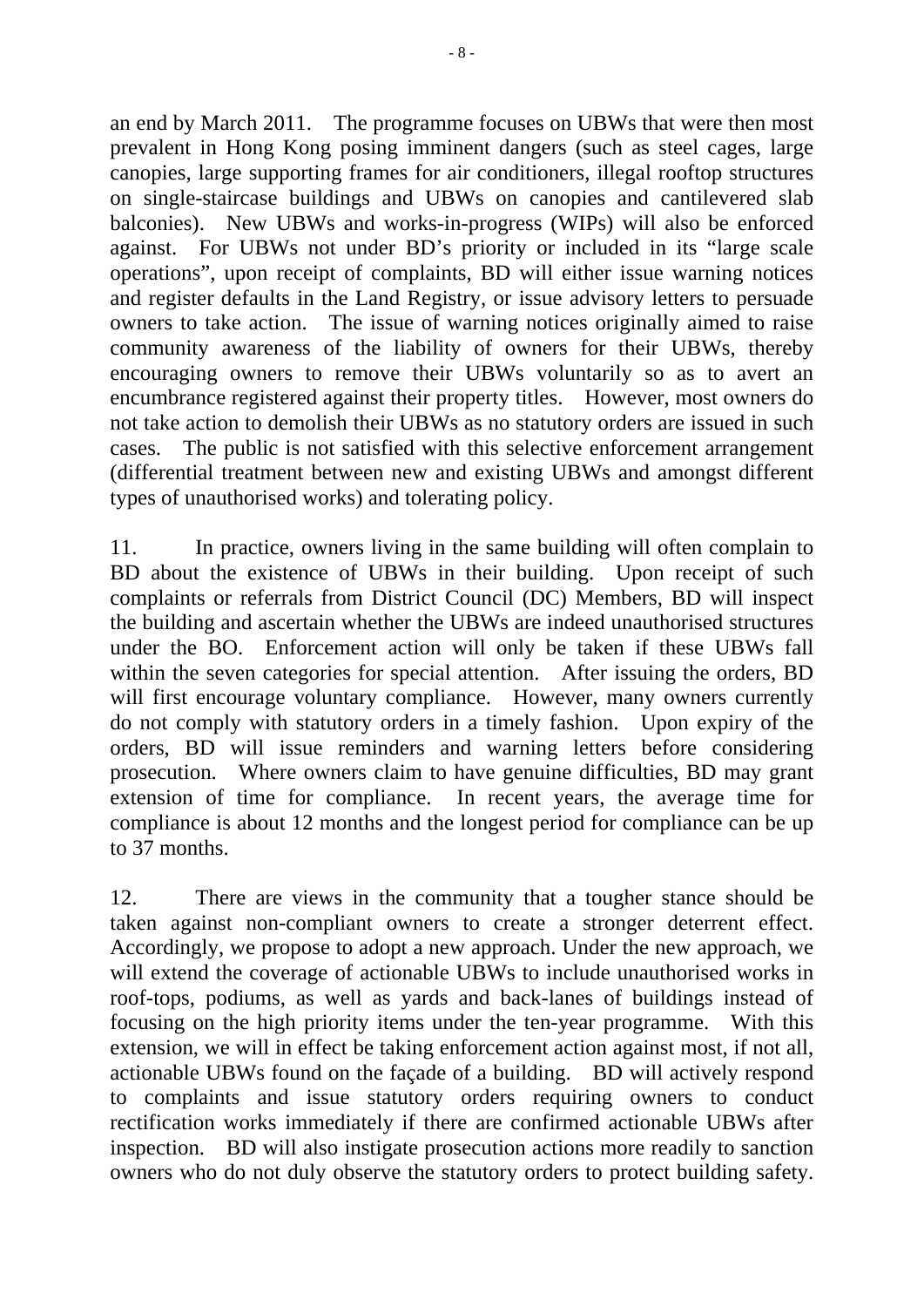an end by March 2011. The programme focuses on UBWs that were then most prevalent in Hong Kong posing imminent dangers (such as steel cages, large canopies, large supporting frames for air conditioners, illegal rooftop structures on single-staircase buildings and UBWs on canopies and cantilevered slab balconies). New UBWs and works-in-progress (WIPs) will also be enforced against. For UBWs not under BD's priority or included in its "large scale operations", upon receipt of complaints, BD will either issue warning notices and register defaults in the Land Registry, or issue advisory letters to persuade owners to take action. The issue of warning notices originally aimed to raise community awareness of the liability of owners for their UBWs, thereby encouraging owners to remove their UBWs voluntarily so as to avert an encumbrance registered against their property titles. However, most owners do not take action to demolish their UBWs as no statutory orders are issued in such cases. The public is not satisfied with this selective enforcement arrangement (differential treatment between new and existing UBWs and amongst different types of unauthorised works) and tolerating policy.

11. In practice, owners living in the same building will often complain to BD about the existence of UBWs in their building. Upon receipt of such complaints or referrals from District Council (DC) Members, BD will inspect the building and ascertain whether the UBWs are indeed unauthorised structures under the BO. Enforcement action will only be taken if these UBWs fall within the seven categories for special attention. After issuing the orders, BD will first encourage voluntary compliance. However, many owners currently do not comply with statutory orders in a timely fashion. Upon expiry of the orders, BD will issue reminders and warning letters before considering prosecution. Where owners claim to have genuine difficulties, BD may grant extension of time for compliance. In recent years, the average time for compliance is about 12 months and the longest period for compliance can be up to 37 months.

12. There are views in the community that a tougher stance should be taken against non-compliant owners to create a stronger deterrent effect. Accordingly, we propose to adopt a new approach. Under the new approach, we will extend the coverage of actionable UBWs to include unauthorised works in roof-tops, podiums, as well as yards and back-lanes of buildings instead of focusing on the high priority items under the ten-year programme. With this extension, we will in effect be taking enforcement action against most, if not all, actionable UBWs found on the façade of a building. BD will actively respond to complaints and issue statutory orders requiring owners to conduct rectification works immediately if there are confirmed actionable UBWs after inspection. BD will also instigate prosecution actions more readily to sanction owners who do not duly observe the statutory orders to protect building safety.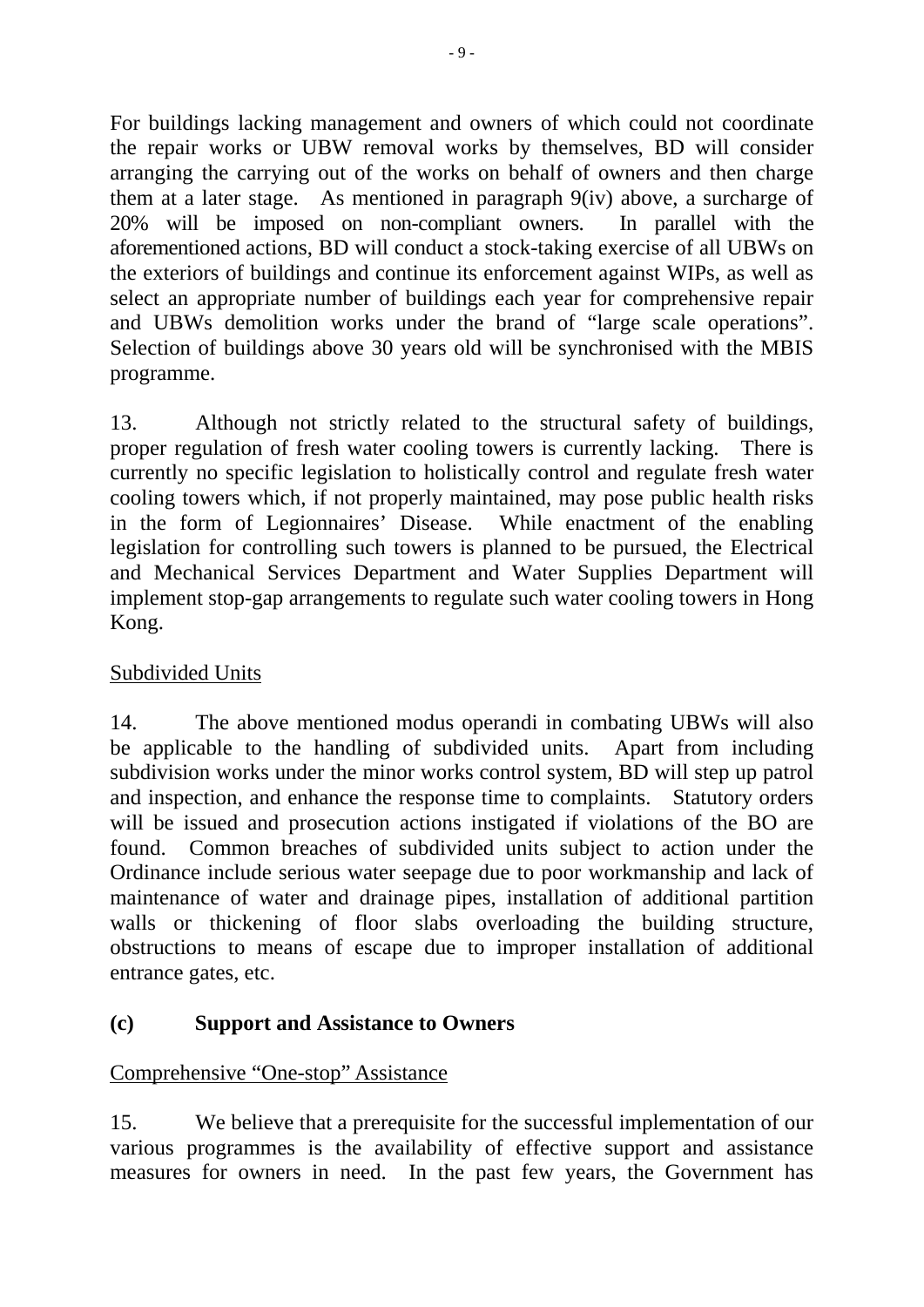For buildings lacking management and owners of which could not coordinate the repair works or UBW removal works by themselves, BD will consider arranging the carrying out of the works on behalf of owners and then charge them at a later stage. As mentioned in paragraph 9(iv) above, a surcharge of 20% will be imposed on non-compliant owners. In parallel with the aforementioned actions, BD will conduct a stock-taking exercise of all UBWs on the exteriors of buildings and continue its enforcement against WIPs, as well as select an appropriate number of buildings each year for comprehensive repair and UBWs demolition works under the brand of "large scale operations". Selection of buildings above 30 years old will be synchronised with the MBIS programme.

13. Although not strictly related to the structural safety of buildings, proper regulation of fresh water cooling towers is currently lacking. There is currently no specific legislation to holistically control and regulate fresh water cooling towers which, if not properly maintained, may pose public health risks in the form of Legionnaires' Disease. While enactment of the enabling legislation for controlling such towers is planned to be pursued, the Electrical and Mechanical Services Department and Water Supplies Department will implement stop-gap arrangements to regulate such water cooling towers in Hong Kong.

# Subdivided Units

14. The above mentioned modus operandi in combating UBWs will also be applicable to the handling of subdivided units. Apart from including subdivision works under the minor works control system, BD will step up patrol and inspection, and enhance the response time to complaints. Statutory orders will be issued and prosecution actions instigated if violations of the BO are found. Common breaches of subdivided units subject to action under the Ordinance include serious water seepage due to poor workmanship and lack of maintenance of water and drainage pipes, installation of additional partition walls or thickening of floor slabs overloading the building structure, obstructions to means of escape due to improper installation of additional entrance gates, etc.

# **(c) Support and Assistance to Owners**

# Comprehensive "One-stop" Assistance

15. We believe that a prerequisite for the successful implementation of our various programmes is the availability of effective support and assistance measures for owners in need. In the past few years, the Government has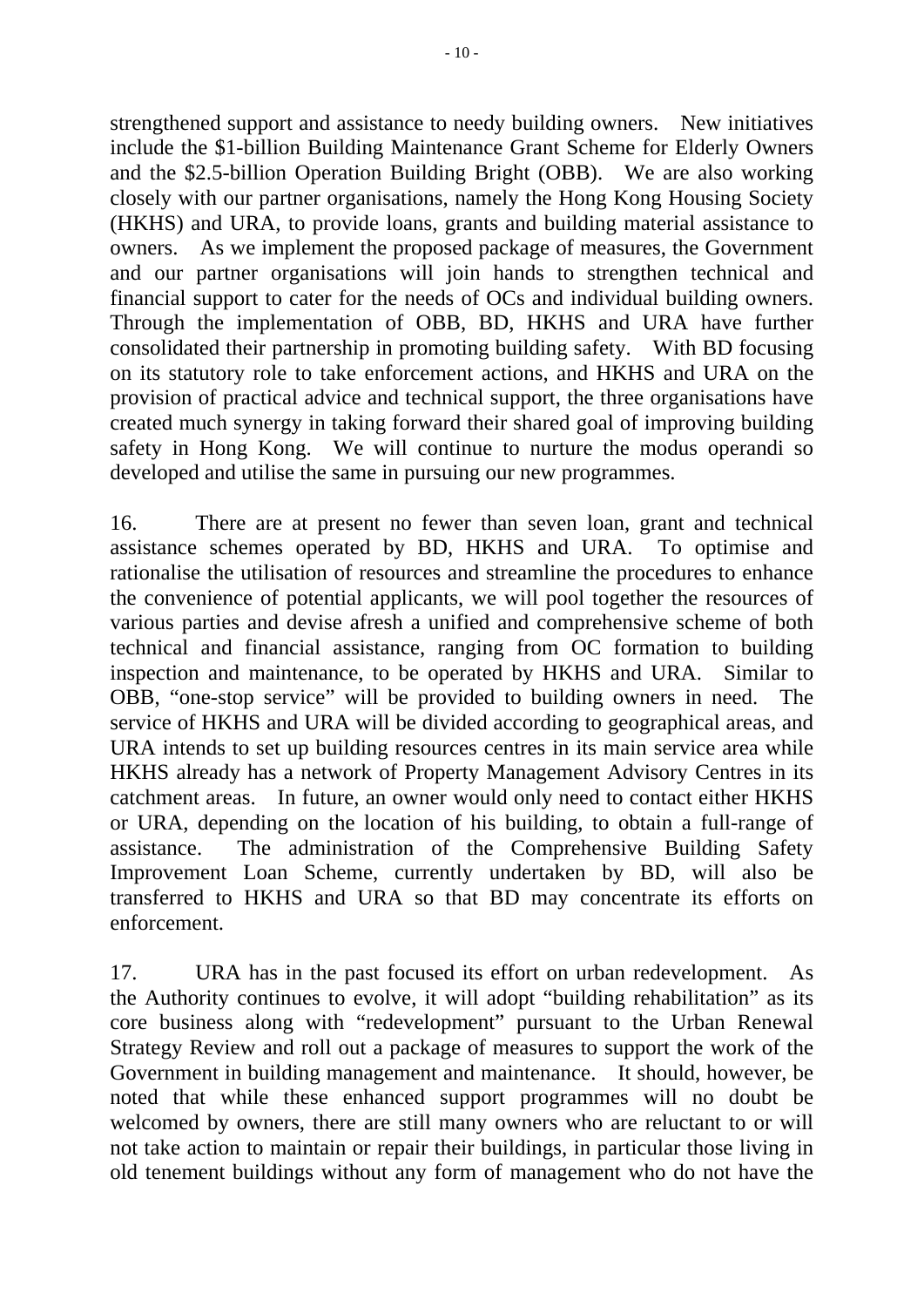strengthened support and assistance to needy building owners. New initiatives include the \$1-billion Building Maintenance Grant Scheme for Elderly Owners and the \$2.5-billion Operation Building Bright (OBB). We are also working closely with our partner organisations, namely the Hong Kong Housing Society (HKHS) and URA, to provide loans, grants and building material assistance to owners. As we implement the proposed package of measures, the Government and our partner organisations will join hands to strengthen technical and financial support to cater for the needs of OCs and individual building owners. Through the implementation of OBB, BD, HKHS and URA have further consolidated their partnership in promoting building safety. With BD focusing on its statutory role to take enforcement actions, and HKHS and URA on the provision of practical advice and technical support, the three organisations have created much synergy in taking forward their shared goal of improving building safety in Hong Kong. We will continue to nurture the modus operandi so developed and utilise the same in pursuing our new programmes.

16. There are at present no fewer than seven loan, grant and technical assistance schemes operated by BD, HKHS and URA. To optimise and rationalise the utilisation of resources and streamline the procedures to enhance the convenience of potential applicants, we will pool together the resources of various parties and devise afresh a unified and comprehensive scheme of both technical and financial assistance, ranging from OC formation to building inspection and maintenance, to be operated by HKHS and URA. Similar to OBB, "one-stop service" will be provided to building owners in need. The service of HKHS and URA will be divided according to geographical areas, and URA intends to set up building resources centres in its main service area while HKHS already has a network of Property Management Advisory Centres in its catchment areas. In future, an owner would only need to contact either HKHS or URA, depending on the location of his building, to obtain a full-range of assistance. The administration of the Comprehensive Building Safety Improvement Loan Scheme, currently undertaken by BD, will also be transferred to HKHS and URA so that BD may concentrate its efforts on enforcement.

17. URA has in the past focused its effort on urban redevelopment. As the Authority continues to evolve, it will adopt "building rehabilitation" as its core business along with "redevelopment" pursuant to the Urban Renewal Strategy Review and roll out a package of measures to support the work of the Government in building management and maintenance. It should, however, be noted that while these enhanced support programmes will no doubt be welcomed by owners, there are still many owners who are reluctant to or will not take action to maintain or repair their buildings, in particular those living in old tenement buildings without any form of management who do not have the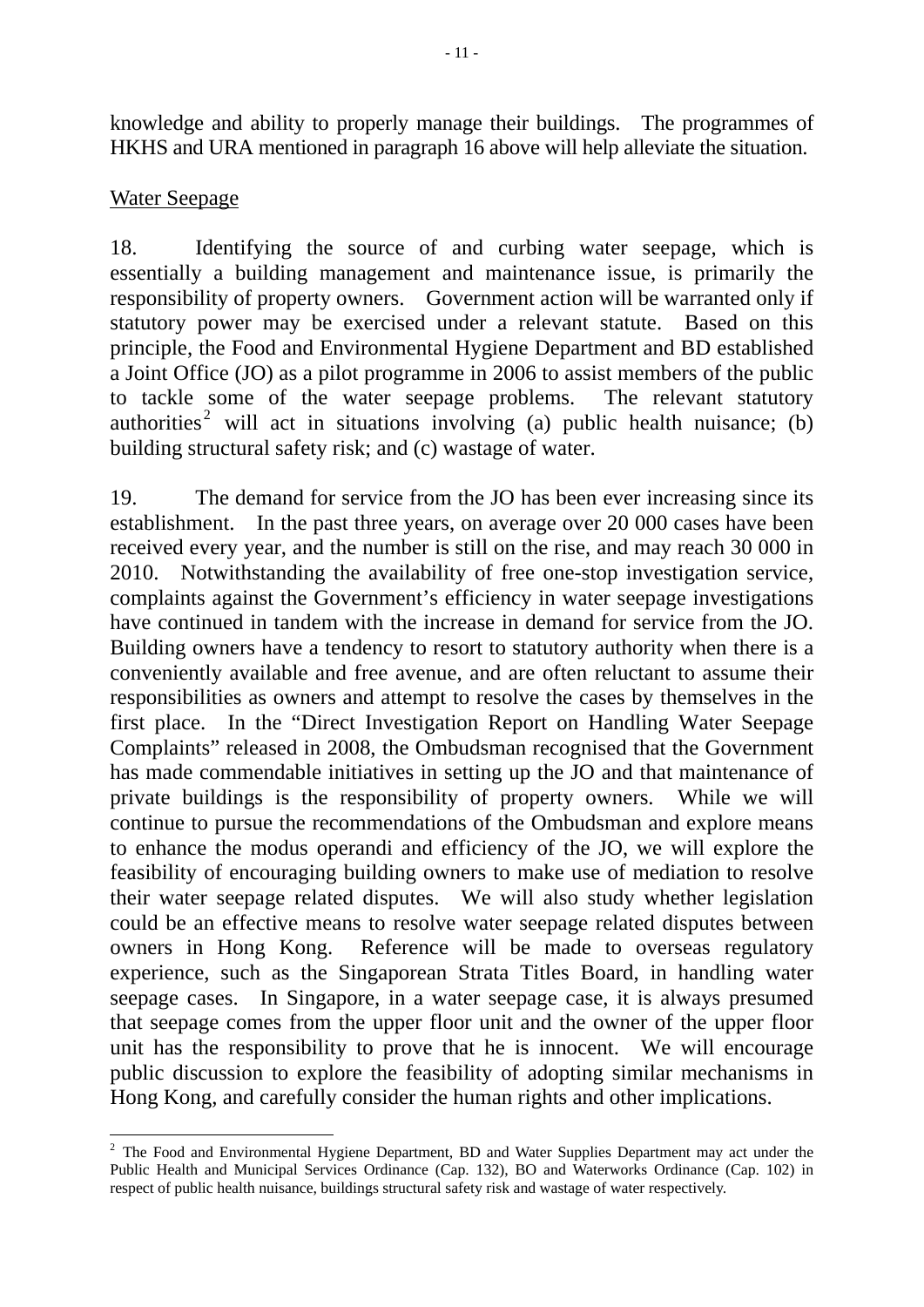knowledge and ability to properly manage their buildings. The programmes of HKHS and URA mentioned in paragraph 16 above will help alleviate the situation.

## Water Seepage

1

18. Identifying the source of and curbing water seepage, which is essentially a building management and maintenance issue, is primarily the responsibility of property owners. Government action will be warranted only if statutory power may be exercised under a relevant statute. Based on this principle, the Food and Environmental Hygiene Department and BD established a Joint Office (JO) as a pilot programme in 2006 to assist members of the public to tackle some of the water seepage problems. The relevant statutory authorities<sup>[2](#page-12-0)</sup> will act in situations involving (a) public health nuisance; (b) building structural safety risk; and (c) wastage of water.

19. The demand for service from the JO has been ever increasing since its establishment. In the past three years, on average over 20 000 cases have been received every year, and the number is still on the rise, and may reach 30 000 in 2010. Notwithstanding the availability of free one-stop investigation service, complaints against the Government's efficiency in water seepage investigations have continued in tandem with the increase in demand for service from the JO. Building owners have a tendency to resort to statutory authority when there is a conveniently available and free avenue, and are often reluctant to assume their responsibilities as owners and attempt to resolve the cases by themselves in the first place. In the "Direct Investigation Report on Handling Water Seepage Complaints" released in 2008, the Ombudsman recognised that the Government has made commendable initiatives in setting up the JO and that maintenance of private buildings is the responsibility of property owners. While we will continue to pursue the recommendations of the Ombudsman and explore means to enhance the modus operandi and efficiency of the JO, we will explore the feasibility of encouraging building owners to make use of mediation to resolve their water seepage related disputes. We will also study whether legislation could be an effective means to resolve water seepage related disputes between owners in Hong Kong. Reference will be made to overseas regulatory experience, such as the Singaporean Strata Titles Board, in handling water seepage cases. In Singapore, in a water seepage case, it is always presumed that seepage comes from the upper floor unit and the owner of the upper floor unit has the responsibility to prove that he is innocent. We will encourage public discussion to explore the feasibility of adopting similar mechanisms in Hong Kong, and carefully consider the human rights and other implications.

<span id="page-12-0"></span> $2$  The Food and Environmental Hygiene Department, BD and Water Supplies Department may act under the Public Health and Municipal Services Ordinance (Cap. 132), BO and Waterworks Ordinance (Cap. 102) in respect of public health nuisance, buildings structural safety risk and wastage of water respectively.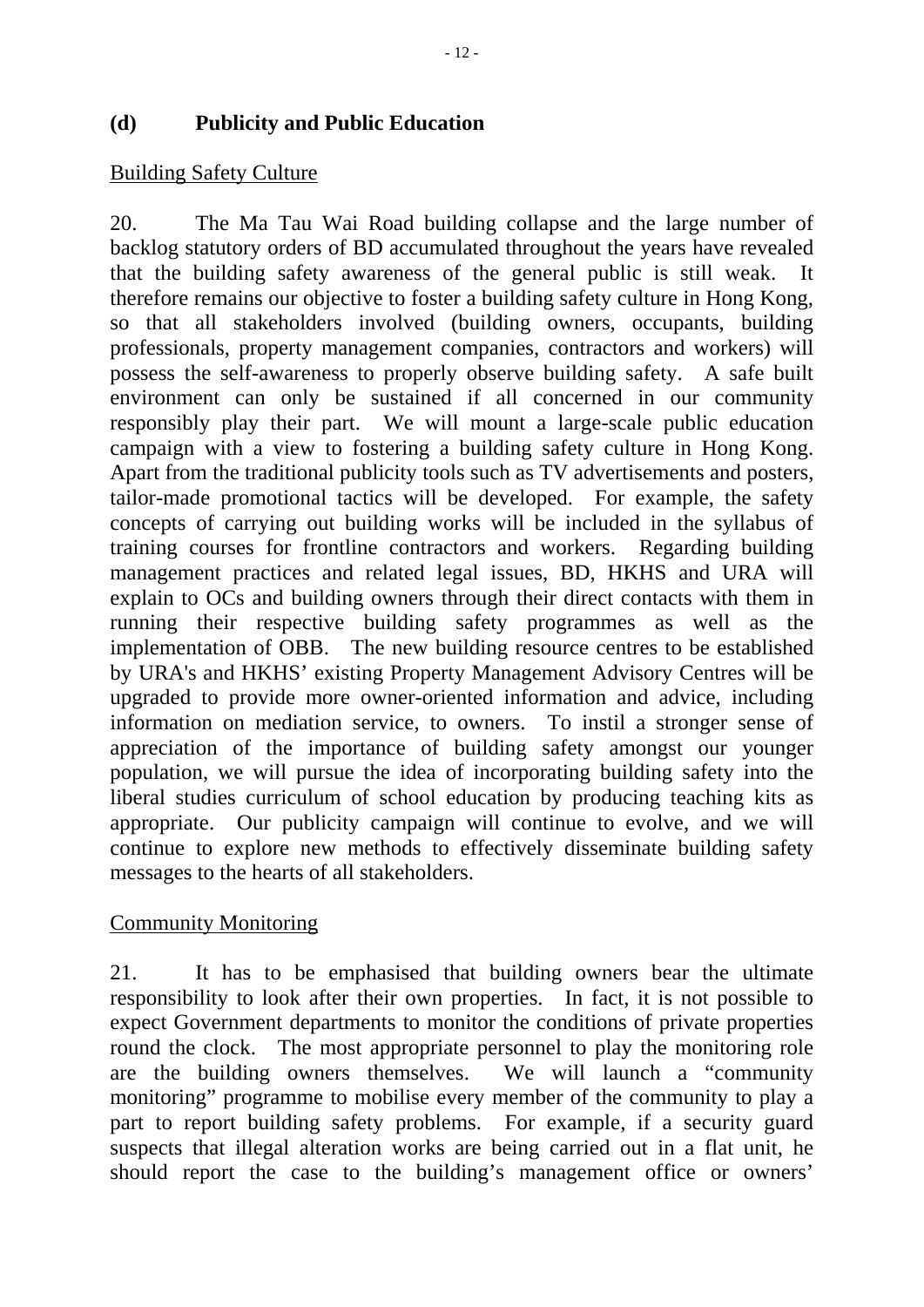### **(d) Publicity and Public Education**

### Building Safety Culture

20. The Ma Tau Wai Road building collapse and the large number of backlog statutory orders of BD accumulated throughout the years have revealed that the building safety awareness of the general public is still weak. It therefore remains our objective to foster a building safety culture in Hong Kong, so that all stakeholders involved (building owners, occupants, building professionals, property management companies, contractors and workers) will possess the self-awareness to properly observe building safety. A safe built environment can only be sustained if all concerned in our community responsibly play their part. We will mount a large-scale public education campaign with a view to fostering a building safety culture in Hong Kong. Apart from the traditional publicity tools such as TV advertisements and posters, tailor-made promotional tactics will be developed. For example, the safety concepts of carrying out building works will be included in the syllabus of training courses for frontline contractors and workers. Regarding building management practices and related legal issues, BD, HKHS and URA will explain to OCs and building owners through their direct contacts with them in running their respective building safety programmes as well as the implementation of OBB. The new building resource centres to be established by URA's and HKHS' existing Property Management Advisory Centres will be upgraded to provide more owner-oriented information and advice, including information on mediation service, to owners. To instil a stronger sense of appreciation of the importance of building safety amongst our younger population, we will pursue the idea of incorporating building safety into the liberal studies curriculum of school education by producing teaching kits as appropriate. Our publicity campaign will continue to evolve, and we will continue to explore new methods to effectively disseminate building safety messages to the hearts of all stakeholders.

## Community Monitoring

21. It has to be emphasised that building owners bear the ultimate responsibility to look after their own properties. In fact, it is not possible to expect Government departments to monitor the conditions of private properties round the clock. The most appropriate personnel to play the monitoring role are the building owners themselves. We will launch a "community monitoring" programme to mobilise every member of the community to play a part to report building safety problems. For example, if a security guard suspects that illegal alteration works are being carried out in a flat unit, he should report the case to the building's management office or owners'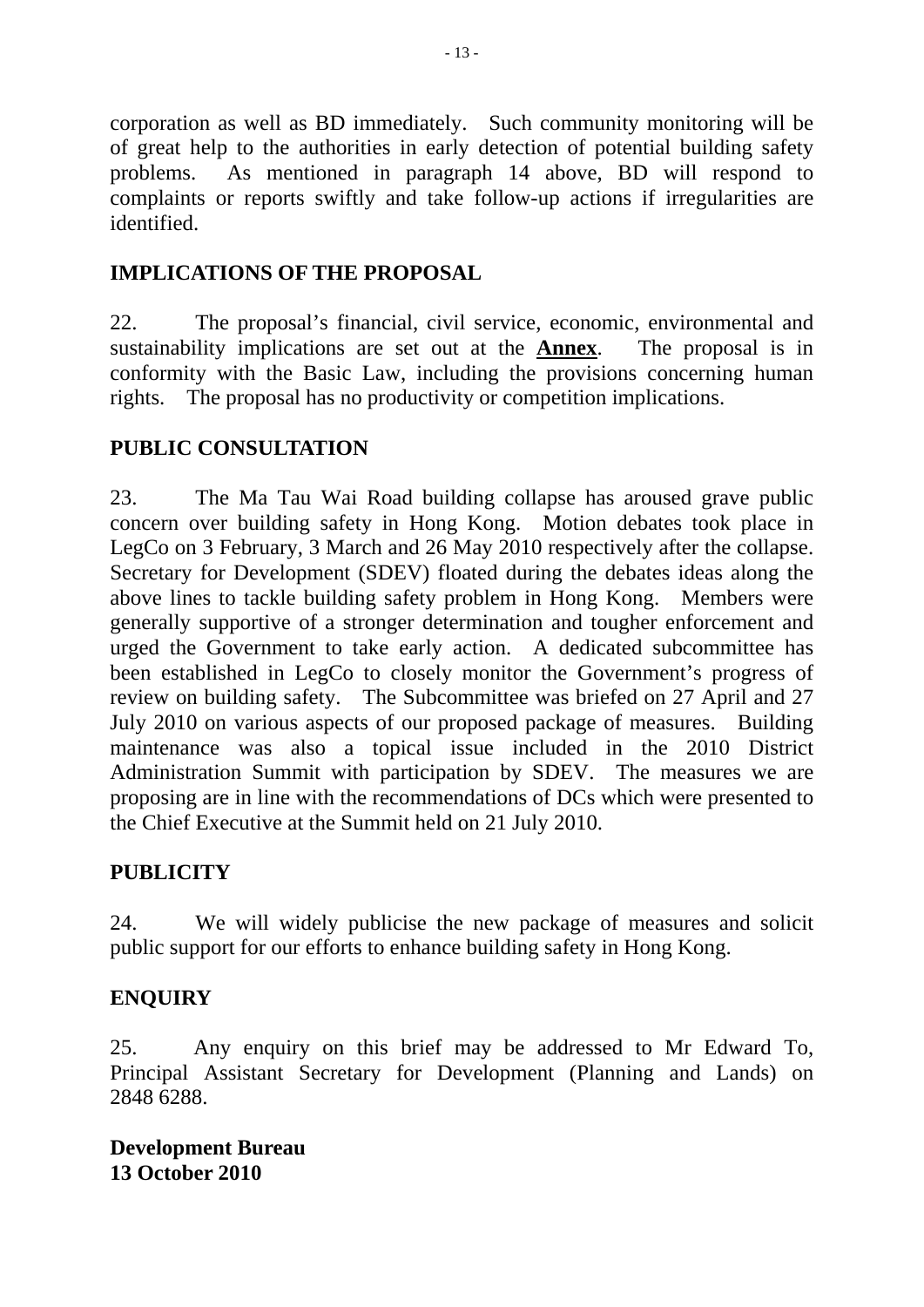corporation as well as BD immediately. Such community monitoring will be of great help to the authorities in early detection of potential building safety problems. As mentioned in paragraph 14 above, BD will respond to complaints or reports swiftly and take follow-up actions if irregularities are identified.

# **IMPLICATIONS OF THE PROPOSAL**

22. The proposal's financial, civil service, economic, environmental and sustainability implications are set out at the **Annex**. The proposal is in conformity with the Basic Law, including the provisions concerning human rights. The proposal has no productivity or competition implications.

# **PUBLIC CONSULTATION**

23. The Ma Tau Wai Road building collapse has aroused grave public concern over building safety in Hong Kong. Motion debates took place in LegCo on 3 February, 3 March and 26 May 2010 respectively after the collapse. Secretary for Development (SDEV) floated during the debates ideas along the above lines to tackle building safety problem in Hong Kong. Members were generally supportive of a stronger determination and tougher enforcement and urged the Government to take early action. A dedicated subcommittee has been established in LegCo to closely monitor the Government's progress of review on building safety. The Subcommittee was briefed on 27 April and 27 July 2010 on various aspects of our proposed package of measures. Building maintenance was also a topical issue included in the 2010 District Administration Summit with participation by SDEV. The measures we are proposing are in line with the recommendations of DCs which were presented to the Chief Executive at the Summit held on 21 July 2010.

# **PUBLICITY**

24. We will widely publicise the new package of measures and solicit public support for our efforts to enhance building safety in Hong Kong.

# **ENQUIRY**

25. Any enquiry on this brief may be addressed to Mr Edward To, Principal Assistant Secretary for Development (Planning and Lands) on 2848 6288.

**Development Bureau 13 October 2010**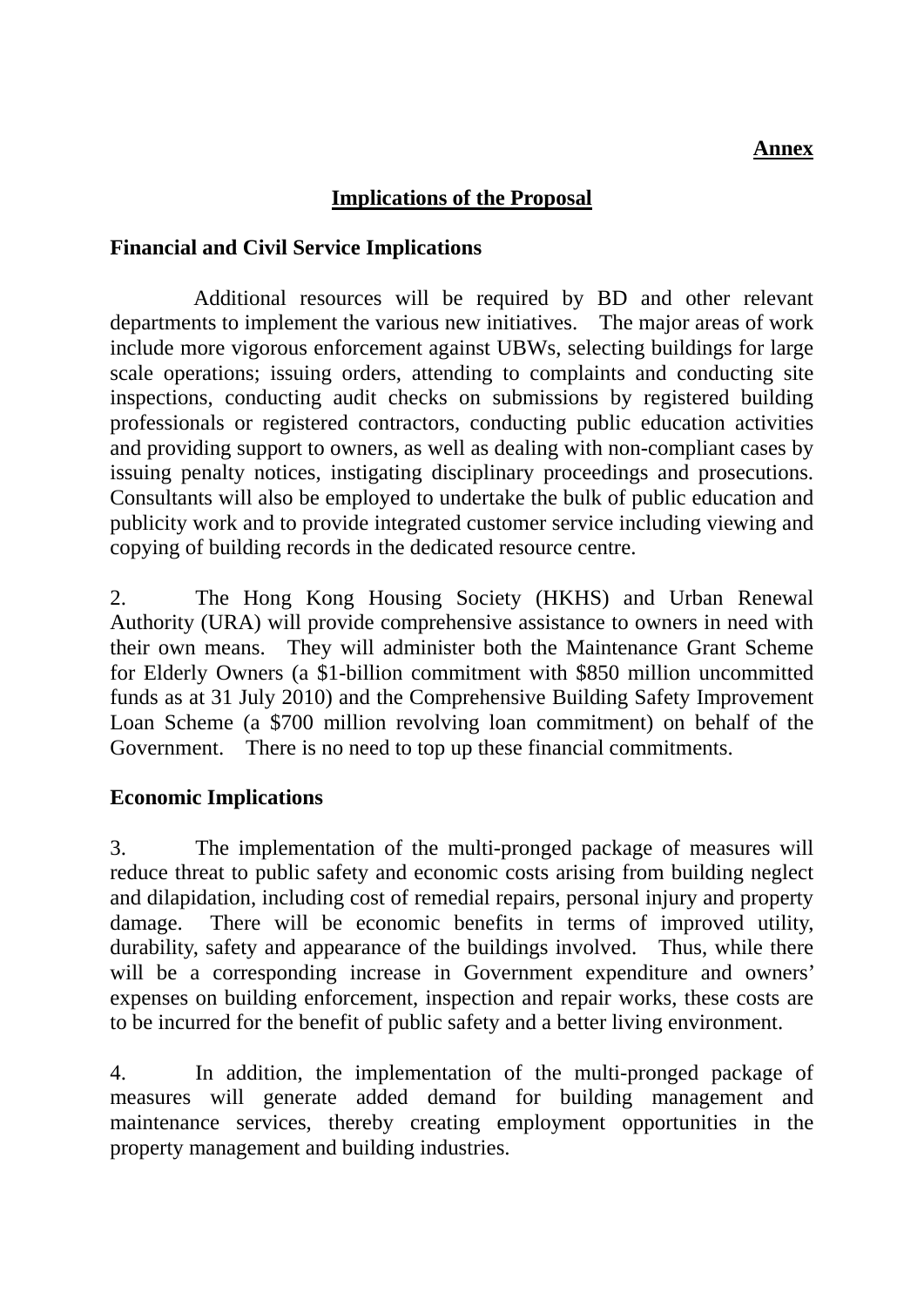### **Annex**

## **Implications of the Proposal**

#### **Financial and Civil Service Implications**

Additional resources will be required by BD and other relevant departments to implement the various new initiatives. The major areas of work include more vigorous enforcement against UBWs, selecting buildings for large scale operations; issuing orders, attending to complaints and conducting site inspections, conducting audit checks on submissions by registered building professionals or registered contractors, conducting public education activities and providing support to owners, as well as dealing with non-compliant cases by issuing penalty notices, instigating disciplinary proceedings and prosecutions. Consultants will also be employed to undertake the bulk of public education and publicity work and to provide integrated customer service including viewing and copying of building records in the dedicated resource centre.

2. The Hong Kong Housing Society (HKHS) and Urban Renewal Authority (URA) will provide comprehensive assistance to owners in need with their own means. They will administer both the Maintenance Grant Scheme for Elderly Owners (a \$1-billion commitment with \$850 million uncommitted funds as at 31 July 2010) and the Comprehensive Building Safety Improvement Loan Scheme (a \$700 million revolving loan commitment) on behalf of the Government. There is no need to top up these financial commitments.

#### **Economic Implications**

3. The implementation of the multi-pronged package of measures will reduce threat to public safety and economic costs arising from building neglect and dilapidation, including cost of remedial repairs, personal injury and property damage. There will be economic benefits in terms of improved utility, durability, safety and appearance of the buildings involved. Thus, while there will be a corresponding increase in Government expenditure and owners' expenses on building enforcement, inspection and repair works, these costs are to be incurred for the benefit of public safety and a better living environment.

4. In addition, the implementation of the multi-pronged package of measures will generate added demand for building management and maintenance services, thereby creating employment opportunities in the property management and building industries.